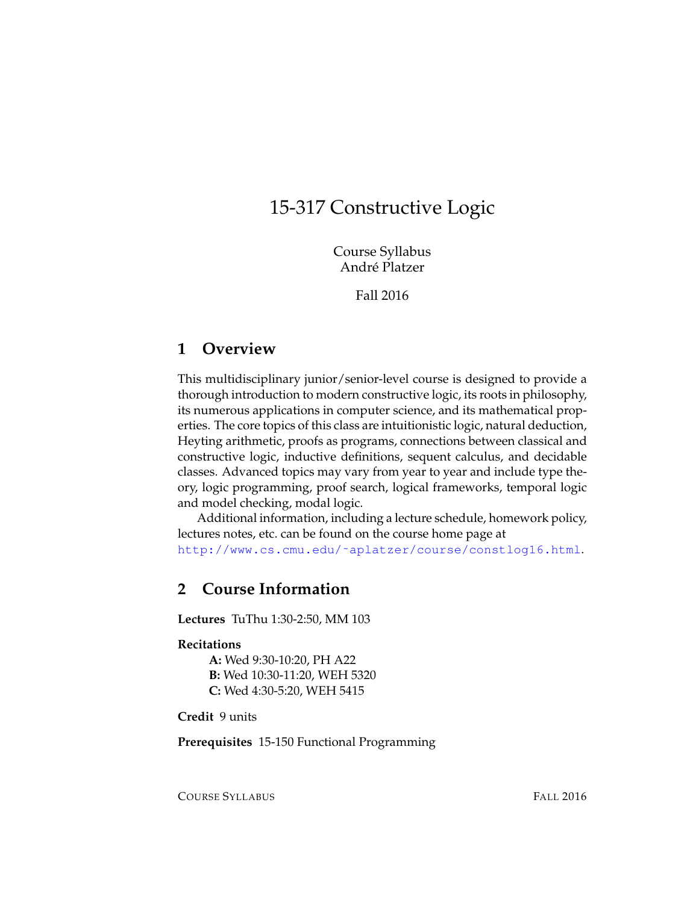# 15-317 Constructive Logic

Course Syllabus André Platzer

Fall 2016

# **1 Overview**

This multidisciplinary junior/senior-level course is designed to provide a thorough introduction to modern constructive logic, its roots in philosophy, its numerous applications in computer science, and its mathematical properties. The core topics of this class are intuitionistic logic, natural deduction, Heyting arithmetic, proofs as programs, connections between classical and constructive logic, inductive definitions, sequent calculus, and decidable classes. Advanced topics may vary from year to year and include type theory, logic programming, proof search, logical frameworks, temporal logic and model checking, modal logic.

Additional information, including a lecture schedule, homework policy, lectures notes, etc. can be found on the course home page at [http://www.cs.cmu.edu/˜aplatzer/course/constlog16.html](http://www.cs.cmu.edu/~aplatzer/course/constlog16.html).

# **2 Course Information**

**Lectures** TuThu 1:30-2:50, MM 103

#### **Recitations**

**A:** Wed 9:30-10:20, PH A22 **B:** Wed 10:30-11:20, WEH 5320 **C:** Wed 4:30-5:20, WEH 5415

**Credit** 9 units

**Prerequisites** 15-150 Functional Programming

COURSE SYLLABUS FALL 2016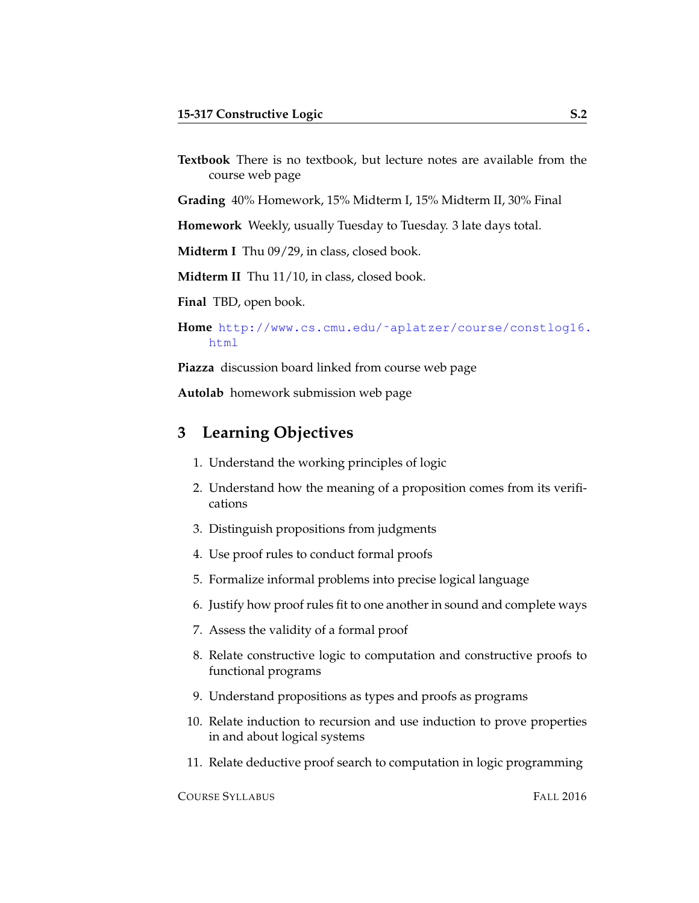**Textbook** There is no textbook, but lecture notes are available from the course web page

**Grading** 40% Homework, 15% Midterm I, 15% Midterm II, 30% Final

**Homework** Weekly, usually Tuesday to Tuesday. 3 late days total.

**Midterm I** Thu 09/29, in class, closed book.

**Midterm II** Thu 11/10, in class, closed book.

**Final** TBD, open book.

**Home** [http://www.cs.cmu.edu/˜aplatzer/course/constlog16.](http://www.cs.cmu.edu/~aplatzer/course/constlog16.html) [html](http://www.cs.cmu.edu/~aplatzer/course/constlog16.html)

**Piazza** discussion board linked from course web page

**Autolab** homework submission web page

### **3 Learning Objectives**

- 1. Understand the working principles of logic
- 2. Understand how the meaning of a proposition comes from its verifications
- 3. Distinguish propositions from judgments
- 4. Use proof rules to conduct formal proofs
- 5. Formalize informal problems into precise logical language
- 6. Justify how proof rules fit to one another in sound and complete ways
- 7. Assess the validity of a formal proof
- 8. Relate constructive logic to computation and constructive proofs to functional programs
- 9. Understand propositions as types and proofs as programs
- 10. Relate induction to recursion and use induction to prove properties in and about logical systems
- 11. Relate deductive proof search to computation in logic programming

COURSE SYLLABUS FALL 2016